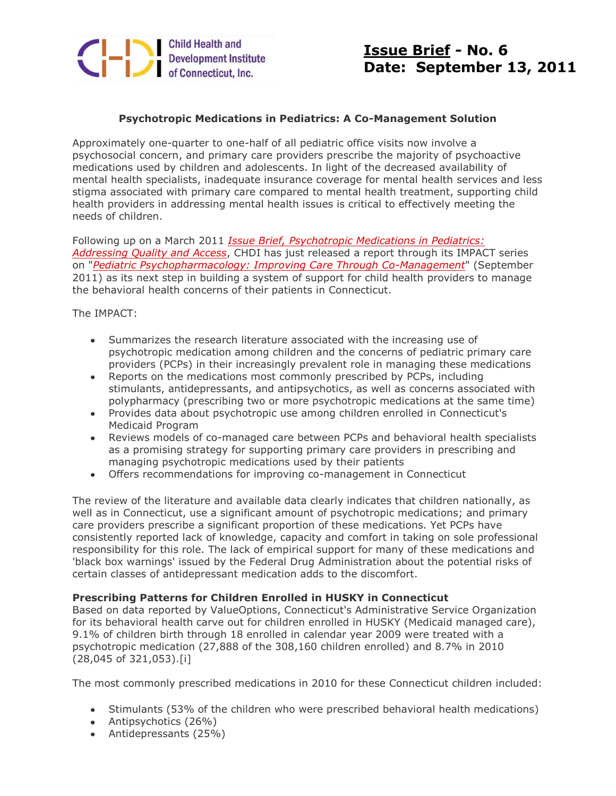

# **Issue Brief - No. 6 Date: September 13, 2011**

## **Psychotropic Medications in Pediatrics: A Co-Management Solution**

Approximately one-quarter to one-half of all pediatric office visits now involve a psychosocial concern, and primary care providers prescribe the majority of psychoactive medications used by children and adolescents. In light of the decreased availability of mental health specialists, inadequate insurance coverage for mental health services and less stigma associated with primary care compared to mental health treatment, supporting child health providers in addressing mental health issues is critical to effectively meeting the needs of children.

Following up on a March 2011 *[Issue Brief, Psychotropic Medications in Pediatrics:](http://r20.rs6.net/tn.jsp?e=001mDRD2zfdqHnTtIOV719Bk_B4ZRZLC0byxIwQ0tbk1F998lObc64IhWhxwyz2MmH_94VI6JYGPtXSI9QhPbUFiVbF1NTJ0WTutsrJZOq6yCoMB4jLA8hHcnEoC-RMP1gSRjK1J7xbWYk=)  [Addressing Quality and Access](http://r20.rs6.net/tn.jsp?e=001mDRD2zfdqHnTtIOV719Bk_B4ZRZLC0byxIwQ0tbk1F998lObc64IhWhxwyz2MmH_94VI6JYGPtXSI9QhPbUFiVbF1NTJ0WTutsrJZOq6yCoMB4jLA8hHcnEoC-RMP1gSRjK1J7xbWYk=)*, CHDI has just released a report through its IMPACT series on "*[Pediatric Psychopharmacology: Improving Care Through Co-Management](http://r20.rs6.net/tn.jsp?e=001mDRD2zfdqHnTtIOV719Bk_B4ZRZLC0byxIwQ0tbk1F998lObc64IhWhxwyz2MmH_94VI6JYGPtXSI9QhPbUFiVbF1NTJ0WTutsrJZOq6yCoMB4jLA8hHcnEoC-RMP1gS47v79lL87uM=)*" (September 2011) as its next step in building a system of support for child health providers to manage the behavioral health concerns of their patients in Connecticut.

The IMPACT:

- Summarizes the research literature associated with the increasing use of psychotropic medication among children and the concerns of pediatric primary care providers (PCPs) in their increasingly prevalent role in managing these medications
- Reports on the medications most commonly prescribed by PCPs, including stimulants, antidepressants, and antipsychotics, as well as concerns associated with polypharmacy (prescribing two or more psychotropic medications at the same time)
- Provides data about psychotropic use among children enrolled in Connecticut's Medicaid Program
- Reviews models of co-managed care between PCPs and behavioral health specialists as a promising strategy for supporting primary care providers in prescribing and managing psychotropic medications used by their patients
- Offers recommendations for improving co-management in Connecticut

The review of the literature and available data clearly indicates that children nationally, as well as in Connecticut, use a significant amount of psychotropic medications; and primary care providers prescribe a significant proportion of these medications. Yet PCPs have consistently reported lack of knowledge, capacity and comfort in taking on sole professional responsibility for this role. The lack of empirical support for many of these medications and 'black box warnings' issued by the Federal Drug Administration about the potential risks of certain classes of antidepressant medication adds to the discomfort.

#### **Prescribing Patterns for Children Enrolled in HUSKY in Connecticut**

Based on data reported by ValueOptions, Connecticut's Administrative Service Organization for its behavioral health carve out for children enrolled in HUSKY (Medicaid managed care), 9.1% of children birth through 18 enrolled in calendar year 2009 were treated with a psychotropic medication (27,888 of the 308,160 children enrolled) and 8.7% in 2010 (28,045 of 321,053).[i]

The most commonly prescribed medications in 2010 for these Connecticut children included:

- Stimulants (53% of the children who were prescribed behavioral health medications)
- Antipsychotics (26%)
- Antidepressants (25%)